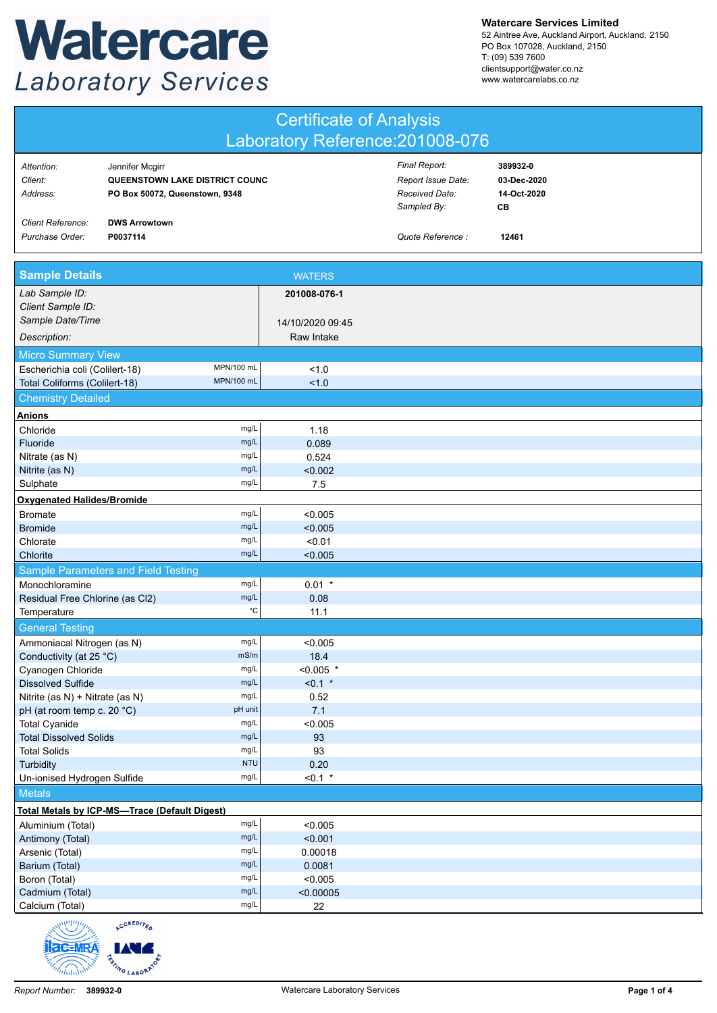## Watercare **Laboratory Services**

**Watercare Services Limited**

52 Aintree Ave, Auckland Airport, Auckland, 2150 PO Box 107028, Auckland, 2150 T: (09) 539 7600 clientsupport@water.co.nz www.watercarelabs.co.nz

| <b>Certificate of Analysis</b><br>Laboratory Reference: 201008-076 |                                                                                     |                    |                                                                      |                                              |  |
|--------------------------------------------------------------------|-------------------------------------------------------------------------------------|--------------------|----------------------------------------------------------------------|----------------------------------------------|--|
| Attention:<br>Client:<br>Address:                                  | Jennifer Mcgirr<br>QUEENSTOWN LAKE DISTRICT COUNC<br>PO Box 50072, Queenstown, 9348 |                    | Final Report:<br>Report Issue Date:<br>Received Date:<br>Sampled By: | 389932-0<br>03-Dec-2020<br>14-Oct-2020<br>CВ |  |
| <b>Client Reference:</b><br>Purchase Order:                        | <b>DWS Arrowtown</b><br>P0037114                                                    |                    | Quote Reference :                                                    | 12461                                        |  |
| <b>Sample Details</b>                                              |                                                                                     | <b>WATERS</b>      |                                                                      |                                              |  |
| Lab Sample ID:<br>Client Sample ID:                                |                                                                                     | 201008-076-1       |                                                                      |                                              |  |
| Sample Date/Time                                                   |                                                                                     | 14/10/2020 09:45   |                                                                      |                                              |  |
| Description:                                                       |                                                                                     | Raw Intake         |                                                                      |                                              |  |
| <b>Micro Summary View</b>                                          |                                                                                     |                    |                                                                      |                                              |  |
| Escherichia coli (Colilert-18)                                     | MPN/100 mL                                                                          | 1.0                |                                                                      |                                              |  |
| Total Coliforms (Colilert-18)                                      | MPN/100 mL                                                                          | 1.0                |                                                                      |                                              |  |
| <b>Chemistry Detailed</b>                                          |                                                                                     |                    |                                                                      |                                              |  |
| <b>Anions</b>                                                      |                                                                                     |                    |                                                                      |                                              |  |
| Chloride                                                           | mg/L                                                                                | 1.18               |                                                                      |                                              |  |
| Fluoride                                                           | mg/L                                                                                | 0.089              |                                                                      |                                              |  |
| Nitrate (as N)                                                     | mg/L<br>mg/L                                                                        | 0.524<br>< 0.002   |                                                                      |                                              |  |
| Nitrite (as N)<br>Sulphate                                         | mg/L                                                                                | 7.5                |                                                                      |                                              |  |
| <b>Oxygenated Halides/Bromide</b>                                  |                                                                                     |                    |                                                                      |                                              |  |
| <b>Bromate</b>                                                     | mg/L                                                                                | < 0.005            |                                                                      |                                              |  |
| <b>Bromide</b>                                                     | mg/L                                                                                | < 0.005            |                                                                      |                                              |  |
| Chlorate                                                           | mg/L                                                                                | < 0.01             |                                                                      |                                              |  |
| Chlorite                                                           | mg/L                                                                                | < 0.005            |                                                                      |                                              |  |
|                                                                    | Sample Parameters and Field Testing                                                 |                    |                                                                      |                                              |  |
| Monochloramine                                                     | mg/L                                                                                | $0.01$ *           |                                                                      |                                              |  |
| Residual Free Chlorine (as Cl2)                                    | mg/L                                                                                | 0.08<br>°C<br>11.1 |                                                                      |                                              |  |
| Temperature                                                        |                                                                                     |                    |                                                                      |                                              |  |
| <b>General Testing</b>                                             | mg/L                                                                                |                    |                                                                      |                                              |  |
| Ammoniacal Nitrogen (as N)<br>Conductivity (at 25 °C)              | mS/m                                                                                | < 0.005<br>18.4    |                                                                      |                                              |  |
| Cyanogen Chloride                                                  | mg/L                                                                                | $< 0.005$ *        |                                                                      |                                              |  |
| <b>Dissolved Sulfide</b>                                           | mg/L                                                                                | $< 0.1$ *          |                                                                      |                                              |  |
| Nitrite (as N) + Nitrate (as N)                                    | mg/L                                                                                | 0.52               |                                                                      |                                              |  |
| pH (at room temp c. 20 °C)                                         | pH unit                                                                             | 7.1                |                                                                      |                                              |  |
| <b>Total Cyanide</b>                                               | mg/L<br>mg/L                                                                        | < 0.005<br>93      |                                                                      |                                              |  |
| <b>Total Dissolved Solids</b><br><b>Total Solids</b>               | mg/L                                                                                | 93                 |                                                                      |                                              |  |
| Turbidity                                                          | <b>NTU</b>                                                                          | 0.20               |                                                                      |                                              |  |
| Un-ionised Hydrogen Sulfide                                        | mg/L                                                                                | $< 0.1$ *          |                                                                      |                                              |  |
| <b>Metals</b>                                                      |                                                                                     |                    |                                                                      |                                              |  |
|                                                                    | <b>Total Metals by ICP-MS-Trace (Default Digest)</b>                                |                    |                                                                      |                                              |  |
| Aluminium (Total)                                                  | mg/L                                                                                | < 0.005            |                                                                      |                                              |  |
| Antimony (Total)                                                   | mg/L                                                                                | < 0.001            |                                                                      |                                              |  |
| Arsenic (Total)                                                    | mg/L                                                                                | 0.00018            |                                                                      |                                              |  |
| Barium (Total)<br>Boron (Total)                                    | mg/L<br>mg/L                                                                        | 0.0081<br>< 0.005  |                                                                      |                                              |  |
| Cadmium (Total)                                                    | mg/L                                                                                | < 0.00005          |                                                                      |                                              |  |
| Calcium (Total)                                                    | mg/L                                                                                | 22                 |                                                                      |                                              |  |
| welling                                                            | CREDITA                                                                             |                    |                                                                      |                                              |  |

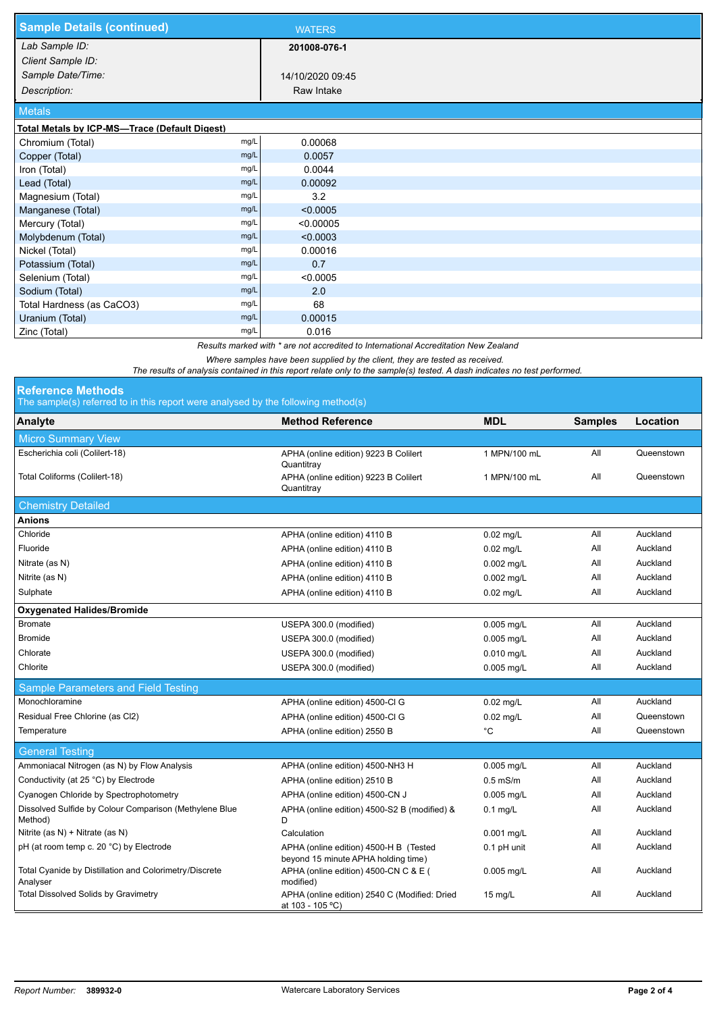| <b>Sample Details (continued)</b>                                                   | <b>WATERS</b>    |  |  |  |  |
|-------------------------------------------------------------------------------------|------------------|--|--|--|--|
| Lab Sample ID:                                                                      | 201008-076-1     |  |  |  |  |
| Client Sample ID:                                                                   |                  |  |  |  |  |
| Sample Date/Time:                                                                   | 14/10/2020 09:45 |  |  |  |  |
| Description:                                                                        | Raw Intake       |  |  |  |  |
| <b>Metals</b>                                                                       |                  |  |  |  |  |
| Total Metals by ICP-MS-Trace (Default Digest)                                       |                  |  |  |  |  |
| mg/L<br>Chromium (Total)                                                            | 0.00068          |  |  |  |  |
| mg/L<br>Copper (Total)                                                              | 0.0057           |  |  |  |  |
| mg/L<br>Iron (Total)                                                                | 0.0044           |  |  |  |  |
| Lead (Total)<br>mg/L                                                                | 0.00092          |  |  |  |  |
| Magnesium (Total)<br>mg/L                                                           | 3.2              |  |  |  |  |
| Manganese (Total)<br>mg/L                                                           | < 0.0005         |  |  |  |  |
| mg/L<br>Mercury (Total)                                                             | < 0.00005        |  |  |  |  |
| Molybdenum (Total)<br>mg/L                                                          | < 0.0003         |  |  |  |  |
| Nickel (Total)<br>mg/L                                                              | 0.00016          |  |  |  |  |
| Potassium (Total)<br>mg/L                                                           | 0.7              |  |  |  |  |
| Selenium (Total)<br>mg/L                                                            | < 0.0005         |  |  |  |  |
| mg/L<br>Sodium (Total)                                                              | 2.0              |  |  |  |  |
| Total Hardness (as CaCO3)<br>mg/L                                                   | 68               |  |  |  |  |
| Uranium (Total)<br>mg/L                                                             | 0.00015          |  |  |  |  |
| Zinc (Total)<br>mg/L                                                                | 0.016            |  |  |  |  |
| Results marked with * are not accredited to International Accreditation New Zealand |                  |  |  |  |  |

*Where samples have been supplied by the client, they are tested as received.* 

*The results of analysis contained in this report relate only to the sample(s) tested. A dash indicates no test performed.*

## **Reference Methods**

The sample(s) referred to in this report were analysed by the following method(s)

| Analyte                                                            | <b>Method Reference</b>                                                       | <b>MDL</b>   | <b>Samples</b> | Location   |
|--------------------------------------------------------------------|-------------------------------------------------------------------------------|--------------|----------------|------------|
| <b>Micro Summary View</b>                                          |                                                                               |              |                |            |
| Escherichia coli (Colilert-18)                                     | APHA (online edition) 9223 B Colilert<br>Quantitray                           | 1 MPN/100 mL | All            | Queenstown |
| Total Coliforms (Colilert-18)                                      | APHA (online edition) 9223 B Colilert<br>Quantitray                           | 1 MPN/100 mL | All            | Queenstown |
| <b>Chemistry Detailed</b>                                          |                                                                               |              |                |            |
| <b>Anions</b>                                                      |                                                                               |              |                |            |
| Chloride                                                           | APHA (online edition) 4110 B                                                  | $0.02$ mg/L  | All            | Auckland   |
| Fluoride                                                           | APHA (online edition) 4110 B                                                  | $0.02$ mg/L  | All            | Auckland   |
| Nitrate (as N)                                                     | APHA (online edition) 4110 B                                                  | 0.002 mg/L   | All            | Auckland   |
| Nitrite (as N)                                                     | APHA (online edition) 4110 B                                                  | $0.002$ mg/L | All            | Auckland   |
| Sulphate                                                           | APHA (online edition) 4110 B                                                  | $0.02$ mg/L  | All            | Auckland   |
| <b>Oxygenated Halides/Bromide</b>                                  |                                                                               |              |                |            |
| <b>Bromate</b>                                                     | USEPA 300.0 (modified)                                                        | 0.005 mg/L   | All            | Auckland   |
| <b>Bromide</b>                                                     | USEPA 300.0 (modified)                                                        | 0.005 mg/L   | All            | Auckland   |
| Chlorate                                                           | USEPA 300.0 (modified)                                                        | 0.010 mg/L   | All            | Auckland   |
| Chlorite                                                           | USEPA 300.0 (modified)                                                        | $0.005$ mg/L | All            | Auckland   |
| Sample Parameters and Field Testing                                |                                                                               |              |                |            |
| Monochloramine                                                     | APHA (online edition) 4500-CI G                                               | $0.02$ mg/L  | All            | Auckland   |
| Residual Free Chlorine (as Cl2)                                    | APHA (online edition) 4500-Cl G                                               | 0.02 mg/L    | All            | Queenstown |
| Temperature                                                        | APHA (online edition) 2550 B                                                  | $^{\circ}$ C | All            | Queenstown |
| <b>General Testing</b>                                             |                                                                               |              |                |            |
| Ammoniacal Nitrogen (as N) by Flow Analysis                        | APHA (online edition) 4500-NH3 H                                              | $0.005$ mg/L | All            | Auckland   |
| Conductivity (at 25 °C) by Electrode                               | APHA (online edition) 2510 B                                                  | $0.5$ mS/m   | All            | Auckland   |
| Cyanogen Chloride by Spectrophotometry                             | APHA (online edition) 4500-CN J                                               | 0.005 mg/L   | All            | Auckland   |
| Dissolved Sulfide by Colour Comparison (Methylene Blue<br>Method)  | APHA (online edition) 4500-S2 B (modified) &<br>D                             | $0.1$ mg/L   | All            | Auckland   |
| Nitrite (as N) + Nitrate (as N)                                    | Calculation                                                                   | 0.001 mg/L   | All            | Auckland   |
| pH (at room temp c. 20 °C) by Electrode                            | APHA (online edition) 4500-H B (Tested<br>beyond 15 minute APHA holding time) | 0.1 pH unit  | ail            | Auckland   |
| Total Cyanide by Distillation and Colorimetry/Discrete<br>Analyser | APHA (online edition) 4500-CN C & E (<br>modified)                            | 0.005 mg/L   | All            | Auckland   |
| Total Dissolved Solids by Gravimetry                               | APHA (online edition) 2540 C (Modified: Dried<br>at 103 - 105 °C)             | 15 mg/L      | All            | Auckland   |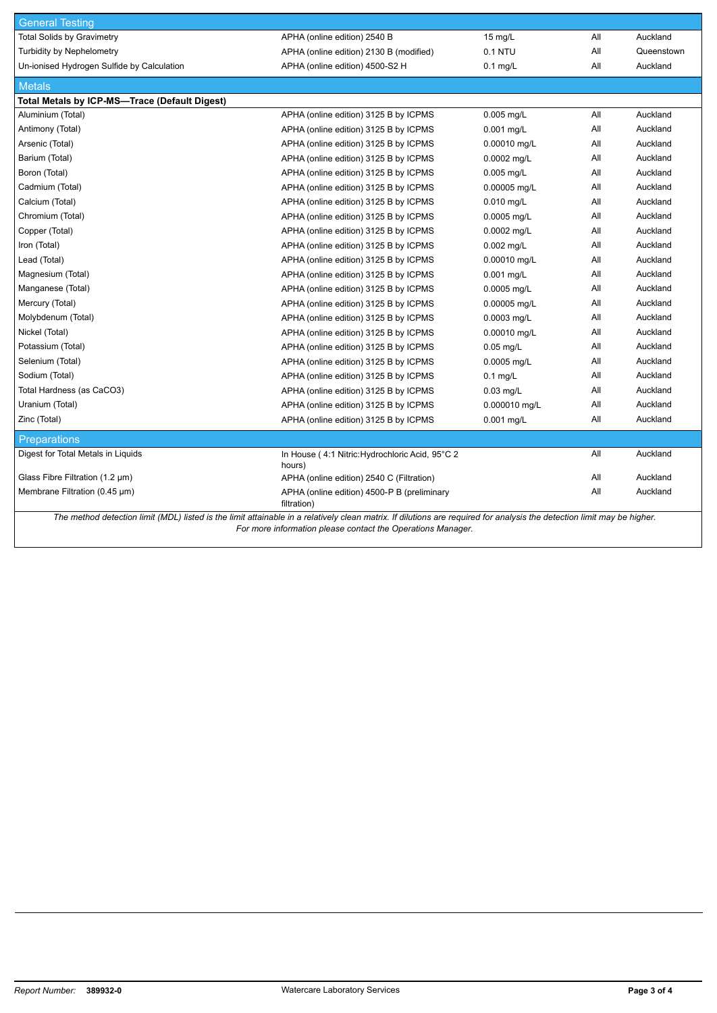| <b>General Testing</b>                                                                                                                                                  |                                                            |               |     |            |  |
|-------------------------------------------------------------------------------------------------------------------------------------------------------------------------|------------------------------------------------------------|---------------|-----|------------|--|
| <b>Total Solids by Gravimetry</b>                                                                                                                                       | APHA (online edition) 2540 B                               | 15 mg/L       | All | Auckland   |  |
| <b>Turbidity by Nephelometry</b>                                                                                                                                        | APHA (online edition) 2130 B (modified)                    | 0.1 NTU       | All | Queenstown |  |
| Un-ionised Hydrogen Sulfide by Calculation                                                                                                                              | APHA (online edition) 4500-S2 H                            | $0.1$ mg/L    | All | Auckland   |  |
| <b>Metals</b>                                                                                                                                                           |                                                            |               |     |            |  |
| Total Metals by ICP-MS-Trace (Default Digest)                                                                                                                           |                                                            |               |     |            |  |
| Aluminium (Total)                                                                                                                                                       | APHA (online edition) 3125 B by ICPMS                      | 0.005 mg/L    | All | Auckland   |  |
| Antimony (Total)                                                                                                                                                        | APHA (online edition) 3125 B by ICPMS                      | 0.001 mg/L    | All | Auckland   |  |
| Arsenic (Total)                                                                                                                                                         | APHA (online edition) 3125 B by ICPMS                      | 0.00010 mg/L  | All | Auckland   |  |
| Barium (Total)                                                                                                                                                          | APHA (online edition) 3125 B by ICPMS                      | 0.0002 mg/L   | All | Auckland   |  |
| Boron (Total)                                                                                                                                                           | APHA (online edition) 3125 B by ICPMS                      | $0.005$ mg/L  | All | Auckland   |  |
| Cadmium (Total)                                                                                                                                                         | APHA (online edition) 3125 B by ICPMS                      | 0.00005 mg/L  | All | Auckland   |  |
| Calcium (Total)                                                                                                                                                         | APHA (online edition) 3125 B by ICPMS                      | $0.010$ mg/L  | All | Auckland   |  |
| Chromium (Total)                                                                                                                                                        | APHA (online edition) 3125 B by ICPMS                      | 0.0005 mg/L   | All | Auckland   |  |
| Copper (Total)                                                                                                                                                          | APHA (online edition) 3125 B by ICPMS                      | 0.0002 mg/L   | All | Auckland   |  |
| Iron (Total)                                                                                                                                                            | APHA (online edition) 3125 B by ICPMS                      | 0.002 mg/L    | All | Auckland   |  |
| Lead (Total)                                                                                                                                                            | APHA (online edition) 3125 B by ICPMS                      | 0.00010 mg/L  | All | Auckland   |  |
| Magnesium (Total)                                                                                                                                                       | APHA (online edition) 3125 B by ICPMS                      | 0.001 mg/L    | All | Auckland   |  |
| Manganese (Total)                                                                                                                                                       | APHA (online edition) 3125 B by ICPMS                      | 0.0005 mg/L   | All | Auckland   |  |
| Mercury (Total)                                                                                                                                                         | APHA (online edition) 3125 B by ICPMS                      | 0.00005 mg/L  | All | Auckland   |  |
| Molybdenum (Total)                                                                                                                                                      | APHA (online edition) 3125 B by ICPMS                      | 0.0003 mg/L   | All | Auckland   |  |
| Nickel (Total)                                                                                                                                                          | APHA (online edition) 3125 B by ICPMS                      | 0.00010 mg/L  | All | Auckland   |  |
| Potassium (Total)                                                                                                                                                       | APHA (online edition) 3125 B by ICPMS                      | $0.05$ mg/L   | All | Auckland   |  |
| Selenium (Total)                                                                                                                                                        | APHA (online edition) 3125 B by ICPMS                      | 0.0005 mg/L   | All | Auckland   |  |
| Sodium (Total)                                                                                                                                                          | APHA (online edition) 3125 B by ICPMS                      | $0.1$ mg/L    | All | Auckland   |  |
| Total Hardness (as CaCO3)                                                                                                                                               | APHA (online edition) 3125 B by ICPMS                      | $0.03$ mg/L   | All | Auckland   |  |
| Uranium (Total)                                                                                                                                                         | APHA (online edition) 3125 B by ICPMS                      | 0.000010 mg/L | All | Auckland   |  |
| Zinc (Total)                                                                                                                                                            | APHA (online edition) 3125 B by ICPMS                      | $0.001$ mg/L  | All | Auckland   |  |
| <b>Preparations</b>                                                                                                                                                     |                                                            |               |     |            |  |
| Digest for Total Metals in Liquids                                                                                                                                      | In House (4:1 Nitric: Hydrochloric Acid, 95°C 2<br>hours)  |               | All | Auckland   |  |
| Glass Fibre Filtration $(1.2 \mu m)$                                                                                                                                    | APHA (online edition) 2540 C (Filtration)                  |               | All | Auckland   |  |
| Membrane Filtration (0.45 µm)                                                                                                                                           | APHA (online edition) 4500-P B (preliminary<br>filtration) |               | All | Auckland   |  |
| The method detection limit (MDL) listed is the limit attainable in a relatively clean matrix. If dilutions are required for analysis the detection limit may be higher. |                                                            |               |     |            |  |

*For more information please contact the Operations Manager.*